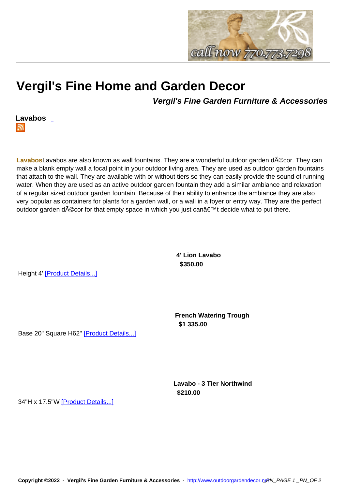

## **Vergil's Fine Home and Gar[den Decor](http://www.outdoorgardendecor.net)**

**Vergil's Fine Garden Furniture & Accessories**



LavabosLavabos are also known as wall fountains. They are a wonderful outdoor garden d**AO**cor. They can make a blank empty wall a focal point in your outdoor living area. They are used as outdoor garden fountains that attach to the wall. They are available with or without tiers so they can easily provide the sound of running water. When they are used as an active outdoor garden fountain they add a similar ambiance and relaxation of a regular sized outdoor garden fountain. Because of their ability to enhance the ambiance they are also very popular as containers for plants for a garden wall, or a wall in a foyer or entry way. They are the perfect outdoor garden décor for that empty space in which you just can't decide what to put there.

> **4' Lion Lavabo \$350.00**

Height 4' [Product Details...]

**French Watering Trough \$1 335.00** 

Base 20" Square H62" [Product Details...]

**Lavabo - 3 Tier Northwind \$210.00** 

34"H x 17.5"W [Product Details...]